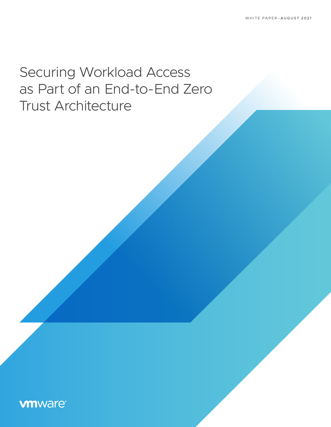# Securing Workload Access as Part of an End-to-End Zero Trust Architecture

# **vmware®**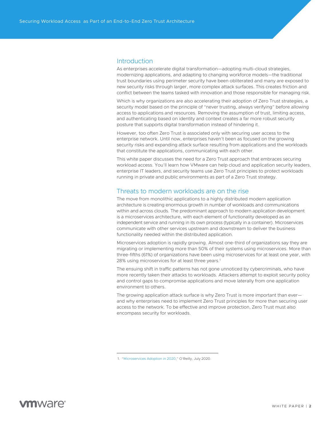### **Introduction**

As enterprises accelerate digital transformation—adopting multi-cloud strategies, modernizing applications, and adapting to changing workforce models—the traditional trust boundaries using perimeter security have been obliterated and many are exposed to new security risks through larger, more complex attack surfaces. This creates friction and conflict between the teams tasked with innovation and those responsible for managing risk.

Which is why organizations are also accelerating their adoption of Zero Trust strategies, a security model based on the principle of "never trusting, always verifying" before allowing access to applications and resources. Removing the assumption of trust, limiting access, and authenticating based on identity and context creates a far more robust security posture that supports digital transformation instead of hindering it.

However, too often Zero Trust is associated only with securing user access to the enterprise network. Until now, enterprises haven't been as focused on the growing security risks and expanding attack surface resulting from applications and the workloads that constitute the applications, communicating with each other.

This white paper discusses the need for a Zero Trust approach that embraces securing workload access. You'll learn how VMware can help cloud and application security leaders, enterprise IT leaders, and security teams use Zero Trust principles to protect workloads running in private and public environments as part of a Zero Trust strategy.

### Threats to modern workloads are on the rise

The move from monolithic applications to a highly distributed modern application architecture is creating enormous growth in number of workloads and communications within and across clouds. The predominant approach to modern application development is a microservices architecture, with each element of functionality developed as an independent service and running in its own process (typically in a container). Microservices communicate with other services upstream and downstream to deliver the business functionality needed within the distributed application.

Microservices adoption is rapidly growing. Almost one-third of organizations say they are migrating or implementing more than 50% of their systems using microservices. More than three-fifths (61%) of organizations have been using microservices for at least one year, with 28% using microservices for at least three years.<sup>1</sup>

The ensuing shift in traffic patterns has not gone unnoticed by cybercriminals, who have more recently taken their attacks to workloads. Attackers attempt to exploit security policy and control gaps to compromise applications and move laterally from one application environment to others.

The growing application attack surface is why Zero Trust is more important than ever and why enterprises need to implement Zero Trust principles for more than securing user access to the network. To be effective and improve protection, Zero Trust must also encompass security for workloads.

 <sup>1. &</sup>quot;[Microservices Adoption in 2020,](https://www.oreilly.com/radar/microservices-adoption-in-2020/)" O'Reilly, July 2020.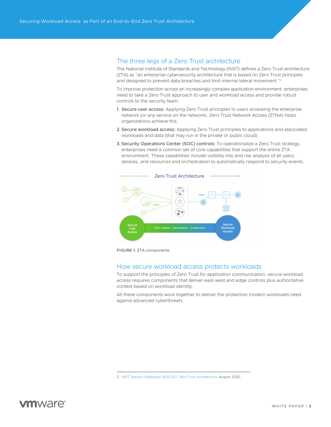### The three legs of a Zero Trust architecture

The National Institute of Standards and Technology (NIST) defines a Zero Trust architecture (ZTA) as "an enterprise cybersecurity architecture that is based on Zero Trust principles and designed to prevent data breaches and limit internal lateral movement."2

To improve protection across an increasingly complex application environment, enterprises need to take a Zero Trust approach to user and workload access and provide robust controls to the security team:

- 1. Secure user access: Applying Zero Trust principles to users accessing the enterprise network (or any service on the network). Zero Trust Network Access (ZTNA) helps organizations achieve this.
- 2.Secure workload access: Applying Zero Trust principles to applications and associated workloads and data (that may run in the private or public cloud).
- 3.Security Operations Center (SOC) controls: To operationalize a Zero Trust strategy, enterprises need a common set of core capabilities that support the entire ZTA environment. These capabilities include visibility into and risk analysis of all users, devices, and resources and orchestration to automatically respond to security events.



FIGURE 1: ZTA components

### How secure workload access protects workloads

To support the principles of Zero Trust for application communication, secure workload access requires components that deliver east-west and edge controls plus authoritative context based on workload identity.

All these components work together to deliver the protection modern workloads need against advanced cyberthreats.



<sup>2.</sup> [NIST Special Publication 800-207, Zero Trust Architecture](https://csrc.nist.gov/publications/detail/sp/800-207/final), August 2020.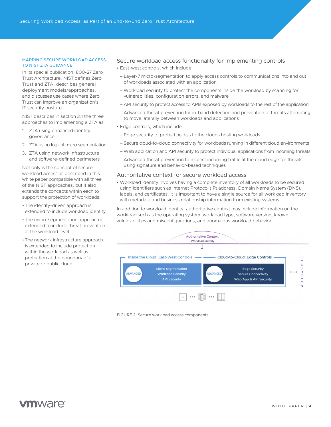#### MAPPING SECURE WORKLOAD ACCESS TO NIST ZTA GUIDANCE

In its special publication, 800-27 Zero Trust Architecture, NIST defines Zero Trust and ZTA, describes general deployment models/approaches, and discusses use cases where Zero Trust can improve an organization's IT security posture.

NIST describes in section 3.1 the three approaches to implementing a ZTA as:

- 1. ZTA using enhanced identity governance
- 2. ZTA using logical micro segmentation
- 3. ZTA using network infrastructure and software-defined perimeters

Not only is the concept of secure workload access as described in this white paper compatible with all three of the NIST approaches, but it also extends the concepts within each to support the protection of workloads:

- The identity-driven approach is extended to include workload identity
- The micro-segmentation approach is extended to include threat prevention at the workload level
- The network infrastructure approach is extended to include protection within the workload as well as protection at the boundary of a private or public cloud

#### Secure workload access functionality for implementing controls

- East-west controls, which include:
- Layer-7 micro-segmentation to apply access controls to communications into and out of workloads associated with an application
- Workload security to protect the components inside the workload by scanning for vulnerabilities, configuration errors, and malware
- API security to protect access to APIs exposed by workloads to the rest of the application
- Advanced threat prevention for in-band detection and prevention of threats attempting to move laterally between workloads and applications
- Edge controls, which include:
- Edge security to protect access to the clouds hosting workloads
- Secure cloud-to-cloud connectivity for workloads running in different cloud environments
- Web application and API security to protect individual applications from incoming threats
- Advanced threat prevention to inspect incoming traffic at the cloud edge for threats using signature and behavior-based techniques

#### Authoritative context for secure workload access

• Workload identity involves having a complete inventory of all workloads to be secured using identifiers such as Internet Protocol (IP) address, Domain Name System (DNS), labels, and certificates. It is important to have a single source for all workload inventory with metadata and business relationship information from existing systems.

In addition to workload identity, authoritative context may include information on the workload such as the operating system, workload type, software version, known vulnerabilities and misconfigurations, and anomalous workload behavior.



FIGURE 2: Secure workload access components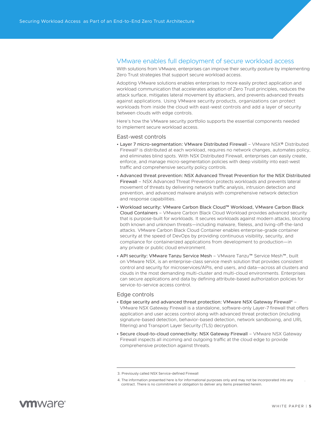#### VMware enables full deployment of secure workload access

With solutions from VMware, enterprises can improve their security posture by implementing Zero Trust strategies that support secure workload access.

Adopting VMware solutions enables enterprises to more easily protect application and workload communication that accelerates adoption of Zero Trust principles, reduces the attack surface, mitigates lateral movement by attackers, and prevents advanced threats against applications. Using VMware security products, organizations can protect workloads from inside the cloud with east-west controls and add a layer of security between clouds with edge controls.

Here's how the VMware security portfolio supports the essential components needed to implement secure workload access.

#### East-west controls

- Layer 7 micro-segmentation: VMware Distributed Firewall VMware NSX® Distributed Firewall<sup>3</sup> is distributed at each workload, requires no network changes, automates policy, and eliminates blind spots. With NSX Distributed Firewall, enterprises can easily create, enforce, and manage micro-segmentation policies with deep visibility into east-west traffic and comprehensive security policy controls.
- Advanced threat prevention: NSX Advanced Threat Prevention for the NSX Distributed Firewall – NSX Advanced Threat Prevention protects workloads and prevents lateral movement of threats by delivering network traffic analysis, intrusion detection and prevention, and advanced malware analysis with comprehensive network detection and response capabilities.
- Workload security: VMware Carbon Black Cloud™ Workload, VMware Carbon Black Cloud Containers – VMware Carbon Black Cloud Workload provides advanced security that is purpose-built for workloads. It secures workloads against modern attacks, blocking both known and unknown threats—including malware, fileless, and living-off-the-land attacks. VMware Carbon Black Cloud Container enables enterprise-grade container security at the speed of DevOps by providing continuous visibility, security, and compliance for containerized applications from development to production—in any private or public cloud environment.
- API security: VMware Tanzu Service Mesh VMware Tanzu™ Service Mesh™, built on VMware NSX, is an enterprise-class service mesh solution that provides consistent control and security for microservices/APIs, end users, and data—across all clusters and clouds in the most demanding multi-cluster and multi-cloud environments. Enterprises can secure applications and data by defining attribute-based authorization policies for service-to-service access control.

#### Edge controls

- Edge security and advanced threat protection: VMware NSX Gateway Firewall4 VMware NSX Gateway Firewall is a standalone, software-only Layer-7 firewall that offers application and user access control along with advanced threat protection (including signature-based detection, behavior-based detection, network sandboxing, and URL filtering) and Transport Layer Security (TLS) decryption.
- Secure cloud-to-cloud connectivity: NSX Gateway Firewall VMware NSX Gateway Firewall inspects all incoming and outgoing traffic at the cloud edge to provide comprehensive protection against threats.

<sup>3.</sup> Previously called NSX Service-defined Firewall

<sup>4.</sup> The information presented here is for informational purposes only and may not be incorporated into any contract. There is no commitment or obligation to deliver any items presented herein.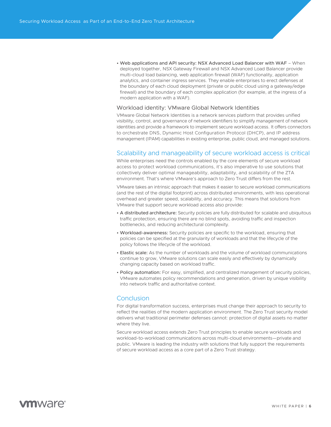• Web applications and API security: NSX Advanced Load Balancer with WAF – When deployed together, NSX Gateway Firewall and NSX Advanced Load Balancer provide multi-cloud load balancing, web application firewall (WAF) functionality, application analytics, and container ingress services. They enable enterprises to erect defenses at the boundary of each cloud deployment (private or public cloud using a gateway/edge firewall) and the boundary of each complex application (for example, at the ingress of a modern application with a WAF).

#### Workload identity: VMware Global Network Identities

VMware Global Network Identities is a network services platform that provides unified visibility, control, and governance of network identifiers to simplify management of network identities and provide a framework to implement secure workload access. It offers connectors to orchestrate DNS, Dynamic Host Configuration Protocol (DHCP), and IP address management (IPAM) capabilities in existing enterprise, public cloud, and managed solutions.

#### Scalability and manageability of secure workload access is critical

While enterprises need the controls enabled by the core elements of secure workload access to protect workload communications, it's also imperative to use solutions that collectively deliver optimal manageability, adaptability, and scalability of the ZTA environment. That's where VMware's approach to Zero Trust differs from the rest.

VMware takes an intrinsic approach that makes it easier to secure workload communications (and the rest of the digital footprint) across distributed environments, with less operational overhead and greater speed, scalability, and accuracy. This means that solutions from VMware that support secure workload access also provide:

- A distributed architecture: Security policies are fully distributed for scalable and ubiquitous traffic protection, ensuring there are no blind spots, avoiding traffic and inspection bottlenecks, and reducing architectural complexity.
- Workload-awareness: Security policies are specific to the workload, ensuring that policies can be specified at the granularity of workloads and that the lifecycle of the policy follows the lifecycle of the workload.
- Elastic scale: As the number of workloads and the volume of workload communications continue to grow, VMware solutions can scale easily and effectively by dynamically changing capacity based on workload traffic.
- Policy automation: For easy, simplified, and centralized management of security policies, VMware automates policy recommendations and generation, driven by unique visibility into network traffic and authoritative context.

#### Conclusion

For digital transformation success, enterprises must change their approach to security to reflect the realities of the modern application environment. The Zero Trust security model delivers what traditional perimeter defenses cannot: protection of digital assets no matter where they live.

Secure workload access extends Zero Trust principles to enable secure workloads and workload-to-workload communications across multi-cloud environments—private and public. VMware is leading the industry with solutions that fully support the requirements of secure workload access as a core part of a Zero Trust strategy.

# **vm**ware<sup>®</sup>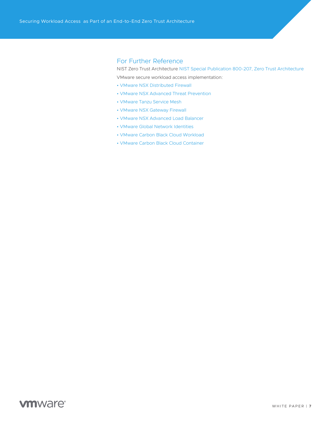## For Further Reference

NIST Zero Trust Architecture [NIST Special Publication 800-207, Zero Trust Architecture](https://csrc.nist.gov/publications/detail/sp/800-207/final)

VMware secure workload access implementation:

- [VMware NSX Distributed Firewall](https://www.vmware.com/security/internal-firewall.html)
- [VMware NSX Advanced Threat Prevention](https://www.vmware.com/products/nsx-advanced-threat-prevention.html)
- [VMware Tanzu Service Mesh](https://tanzu.vmware.com/service-mesh)
- [VMware NSX Gateway Firewall](https://www.vmware.com/security/internal-firewall.html)
- [VMware NSX Advanced Load Balancer](https://www.vmware.com/products/nsx-advanced-load-balancer.html)
- [VMware Global Network Identities](https://docs.vmware.com/en/VMware-Global-Network-Identities-Advanced/index.html)
- [VMware Carbon Black Cloud Workload](https://www.vmware.com/products/carbon-black-cloud-workload.html)
- [VMware Carbon Black Cloud Container](https://www.vmware.com/products/carbon-black-cloud-container.html)

# **vm**ware<sup>®</sup>